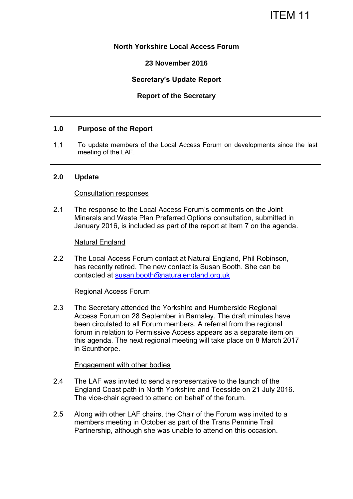# ITEM 11

## **North Yorkshire Local Access Forum**

## **23 November 2016**

## **Secretary's Update Report**

## **Report of the Secretary**

## **1.0 Purpose of the Report**

1.1 To update members of the Local Access Forum on developments since the last meeting of the LAF.

## **2.0 Update**

#### Consultation responses

2.1 The response to the Local Access Forum's comments on the Joint Minerals and Waste Plan Preferred Options consultation, submitted in January 2016, is included as part of the report at Item 7 on the agenda.

#### Natural England

2.2 The Local Access Forum contact at Natural England, Phil Robinson, has recently retired. The new contact is Susan Booth. She can be contacted at [susan.booth@naturalengland.org.uk](mailto:susan.booth@naturalengland.org.uk) 

#### Regional Access Forum

2.3 The Secretary attended the Yorkshire and Humberside Regional Access Forum on 28 September in Barnsley. The draft minutes have been circulated to all Forum members. A referral from the regional forum in relation to Permissive Access appears as a separate item on this agenda. The next regional meeting will take place on 8 March 2017 in Scunthorpe.

#### Engagement with other bodies

- 2.4 The LAF was invited to send a representative to the launch of the England Coast path in North Yorkshire and Teesside on 21 July 2016. The vice-chair agreed to attend on behalf of the forum.
- 2.5 Along with other LAF chairs, the Chair of the Forum was invited to a members meeting in October as part of the Trans Pennine Trail Partnership, although she was unable to attend on this occasion.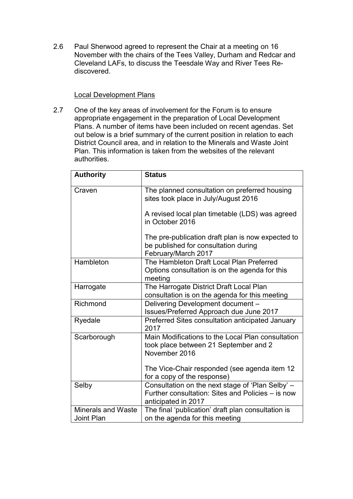2.6 Paul Sherwood agreed to represent the Chair at a meeting on 16 November with the chairs of the Tees Valley, Durham and Redcar and Cleveland LAFs, to discuss the Teesdale Way and River Tees Rediscovered.

## Local Development Plans

2.7 One of the key areas of involvement for the Forum is to ensure appropriate engagement in the preparation of Local Development Plans. A number of items have been included on recent agendas. Set out below is a brief summary of the current position in relation to each District Council area, and in relation to the Minerals and Waste Joint Plan. This information is taken from the websites of the relevant authorities.

| <b>Authority</b>                               | <b>Status</b>                                                                                                                |
|------------------------------------------------|------------------------------------------------------------------------------------------------------------------------------|
| Craven                                         | The planned consultation on preferred housing<br>sites took place in July/August 2016                                        |
|                                                | A revised local plan timetable (LDS) was agreed<br>in October 2016                                                           |
|                                                | The pre-publication draft plan is now expected to<br>be published for consultation during<br>February/March 2017             |
| Hambleton                                      | The Hambleton Draft Local Plan Preferred<br>Options consultation is on the agenda for this<br>meeting                        |
| Harrogate                                      | The Harrogate District Draft Local Plan<br>consultation is on the agenda for this meeting                                    |
| Richmond                                       | Delivering Development document -<br>Issues/Preferred Approach due June 2017                                                 |
| Ryedale                                        | Preferred Sites consultation anticipated January<br>2017                                                                     |
| Scarborough                                    | Main Modifications to the Local Plan consultation<br>took place between 21 September and 2<br>November 2016                  |
|                                                | The Vice-Chair responded (see agenda item 12<br>for a copy of the response)                                                  |
| Selby                                          | Consultation on the next stage of 'Plan Selby' -<br>Further consultation: Sites and Policies – is now<br>anticipated in 2017 |
| <b>Minerals and Waste</b><br><b>Joint Plan</b> | The final 'publication' draft plan consultation is<br>on the agenda for this meeting                                         |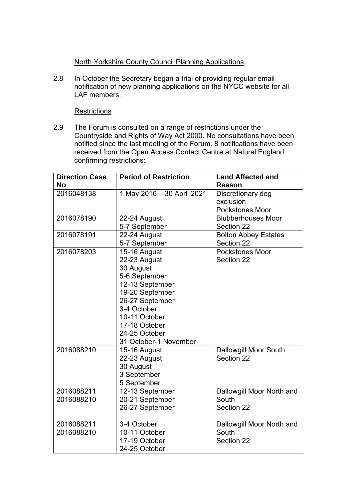# North Yorkshire County Council Planning Applications

2.8 In October the Secretary began a trial of providing regular email notification of new planning applications on the NYCC website for all LAF members.

## **Restrictions**

2.9 The Forum is consulted on a range of restrictions under the Countryside and Rights of Way Act 2000. No consultations have been notified since the last meeting of the Forum. 8 notifications have been received from the Open Access Contact Centre at Natural England confirming restrictions:

| <b>Direction Case</b><br><b>No</b> | <b>Period of Restriction</b>                                                                                                                                                                                   | <b>Land Affected and</b><br>Reason                       |
|------------------------------------|----------------------------------------------------------------------------------------------------------------------------------------------------------------------------------------------------------------|----------------------------------------------------------|
| 2016048138                         | 1 May 2016 - 30 April 2021                                                                                                                                                                                     | Discretionary dog<br>exclusion<br><b>Pockstones Moor</b> |
| 2016078190                         | 22-24 August<br>5-7 September                                                                                                                                                                                  | <b>Blubberhouses Moor</b><br>Section 22                  |
| 2016078191                         | 22-24 August<br>5-7 September                                                                                                                                                                                  | <b>Bolton Abbey Estates</b><br>Section 22                |
| 2016078203                         | 15-16 August<br>22-23 August<br>30 August<br>5-6 September<br>12-13 September<br>19-20 September<br>26-27 September<br>3-4 October<br>10-11 October<br>17-18 October<br>24-25 October<br>31 October-1 November | <b>Pockstones Moor</b><br>Section 22                     |
| 2016088210                         | 15-16 August<br>22-23 August<br>30 August<br>3 September<br>5 September                                                                                                                                        | <b>Dallowgill Moor South</b><br>Section 22               |
| 2016088211<br>2016088210           | 12-13 September<br>20-21 September<br>26-27 September                                                                                                                                                          | Dallowgill Moor North and<br>South<br>Section 22         |
| 2016088211<br>2016088210           | 3-4 October<br>10-11 October<br>17-19 October<br>24-25 October                                                                                                                                                 | Dallowgill Moor North and<br>South<br>Section 22         |